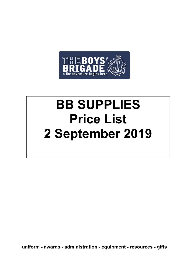

# **BB SUPPLIES Price List 2 September 2019**

**uniform - awards - administration - equipment - resources - gifts**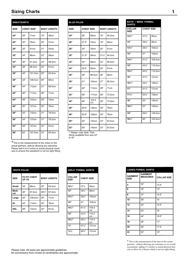## **Sizing Charts** 1

| <b>SWEATSHIRTS</b> |     |                    |     |                    |
|--------------------|-----|--------------------|-----|--------------------|
| <b>SIZE</b>        |     | <b>CHEST SIZE*</b> |     | <b>BODY LENGTH</b> |
| 24"                | 28" | 71cm               | 19" | 48cm               |
| 26"                | 30" | 76cm               | 20" | 51cm               |
| 28"                | 32" | 81cm               | 21" | 53cm               |
| 30"                | 34" | 86cm               | 22" | 56cm               |
| 32"                | 36" | 91.5cm             | 23" | 58.5cm             |
| 34"                | 38" | 96.5cm             | 24" | 61cm               |
| 36"                | 40" | 101.5cm            | 25" | 63.5cm             |
| 38"                | 42" | 106.5cm            | 26" | 66cm               |
| 40"                | 44" | 112cm              | 27" | 68.5cm             |
| 42"                | 46" | 117cm              | 28" | 71cm               |
| 44"                | 48" | 122cm              | 29" | 74cm               |
| 46"                | 50" | 127cm              | 30" | 76cm               |
| 48"                | 52" | 132cm              | 31" | 78.5cm             |
| 50"                | 54" | 137cm              | 31" | 78.5cm             |
| 54"                | 58" | 147cm              | 32" | 81cm               |
| 58"                | 62" | 157.5cm            | 33" | 83.5cm             |

|             | <b>SWEATSHIRTS</b> |                    |     |                    | <b>BLUE POLOS</b> |                   |              |                   |                    |
|-------------|--------------------|--------------------|-----|--------------------|-------------------|-------------------|--------------|-------------------|--------------------|
| <b>SIZE</b> |                    | <b>CHEST SIZE*</b> |     | <b>BODY LENGTH</b> | <b>SIZE</b>       | <b>CHEST SIZE</b> |              |                   | <b>BODY LENGTH</b> |
| 24"         | 28"                | 71cm               | 19" | 48cm               | 24"               | 26"               | 66cm         | 18"               | 45.5cm             |
| 26"         | 30"                | 76cm               | 20" | 51cm               | 26"               | 27.5"             | 70cm         | 19"               | 48cm               |
| 28"         | 32"                | 81cm               | 21" | 53cm               | 28"               | 30"               | 76cm         | 20"               | 51cm               |
| 30"         | 34"                | 86cm               | 22" | 56cm               | 30"               | 31.5"             | 80cm         | $21\frac{1}{2}$ " | 54.5cm             |
| 32"         | 36"                | 91.5cm             | 23" | 58.5cm             | 32"               | 34"               | 86cm         | 23"               | 58.5cm             |
| 34"         | 38"                | 96.5cm             | 24" | 61cm               | 34"               | 35.5"             | 90cm         | 24"               | 61cm               |
| 36"         | 40"                | 101.5cm            | 25" | 63.5cm             | 36"               | 38"               | 96.5cm       | 26"               | 66cm               |
| 38"         | 42"                | 106.5cm            | 26" | 66cm               | 38"               | 41"               | 104cm        | 27"               | 68.5cm             |
| 40"         | 44"                | 112cm              | 27" | 68.5cm             | 40"               | 44"               | 112cm        | 28"               | 71cm               |
| 42"         | 46"                | 117cm              | 28" | 71cm               | 42"               | 46"               | 117cm        | 29"               | 73.5cm             |
| 44"         | 48"                | 122cm              | 29" | 74cm               | 44"               | 49"               | 124.5<br>cm  | 29"               | 73.5cm             |
| 46"         | 50"                | 127cm              | 30" | 76cm               | 46"               | 49.5"             | <b>126cm</b> | 30"               | 76cm               |
| 48"         | 52"                | 132cm              | 31" | 78.5cm             | 48"               | 50.5"             | 128cm        | 30"               | 76cm               |
| 50"         | 54"                | 137cm              | 31" | 78.5cm             | 50"               | 52"               | 132cm        | 33"               | 83.5cm             |
| 54"         | 58"                | 147cm              | 32" | 81cm               | 52"               | 55"               | 140cm        | 33"               | 83.5cm             |

| <b>BOYS' / MENS FORMAL</b><br><b>SHIRTS</b> |                   |              |  |  |
|---------------------------------------------|-------------------|--------------|--|--|
| <b>COLLAR</b><br><b>SIZE</b>                | <b>CHEST SIZE</b> |              |  |  |
| $12\frac{1}{2}$ "                           | $37\frac{1}{2}$   | 95cm         |  |  |
| 13"                                         | 381/2"            | 98cm         |  |  |
| $13\frac{1}{2}$ "                           | 391/2"            | 100cm        |  |  |
| 14"                                         | 41"               | 104cm        |  |  |
| $14\frac{1}{2}$                             | $41\frac{1}{2}$   | 105.5cm      |  |  |
| 15"                                         | 431/2"            | 110.5cm      |  |  |
| $15\frac{1}{2}$                             | 451/2"            | 115.5cm      |  |  |
| 16"                                         | 471/2"            | <b>121cm</b> |  |  |
| $16\frac{1}{2}$                             | 49%"              | 126cm        |  |  |
| 17"                                         | $51\frac{1}{2}$   | 131cm        |  |  |
| $17\frac{1}{2}$                             | 531/2"            | 136cm        |  |  |
| 18"                                         | 55"               | 140cm        |  |  |
| 181/2"                                      | 57"               | 145cm        |  |  |
| 19"                                         | 581/2"            | 148.5cm      |  |  |
| $19\frac{1}{2}$                             | 60"               | 152.5cm      |  |  |

\*This is the measurement of the chest on the actual garment, without allowing any tolerance. Please add 4 to 6 inches to actual physical chest

size to ensure the sweatshirt is not too tight fitting.

| <b>WHITE POLOS</b> |       |                     |                    |        |  |  |
|--------------------|-------|---------------------|--------------------|--------|--|--|
| <b>SIZE</b>        | UP TO | <b>TO FIT CHEST</b> | <b>BODY LENGTH</b> |        |  |  |
| <b>Small</b>       | 34"   | 86cm                | 25"                | 63.5cm |  |  |
| Medi-<br>um        | 36"   | 91.5cm              | 261/2"             | 67.5cm |  |  |
| Large              | 42"   | 106.5cm             | 28"                | 71cm   |  |  |
| <b>XL</b>          | 44"   | 112cm               | 30"                | 76cm   |  |  |
| <b>XXL</b>         | 48"   | 122cm               | 32"                | 81cm   |  |  |

| <b>GIRLS' FORMAL SHIRTS</b>  |                   |              |  |  |
|------------------------------|-------------------|--------------|--|--|
| <b>COLLAR</b><br><b>SIZE</b> | <b>CHEST SIZE</b> |              |  |  |
| $12\frac{1}{2}$              | 37%               | 95cm         |  |  |
| 13"                          | 381/2"            | 98cm         |  |  |
| $13\frac{1}{2}$ "            | 391/2"            | 100cm        |  |  |
| 14"                          | 41"               | 104cm        |  |  |
| $14\frac{1}{2}$ "            | $41\frac{1}{2}$   | 105.5<br>cm  |  |  |
| 15"                          | $43\frac{1}{2}$   | 110.5<br>cm  |  |  |
| $15\frac{1}{2}$              | 451/2"            | 115.5<br>cm  |  |  |
| 16"                          | $47\frac{1}{2}$   | <b>121cm</b> |  |  |
| 16%                          | 491/2"            | <b>121cm</b> |  |  |

to 42"

| <b>LADIES FORMAL SHIRTS</b>   |                                   |                    |  |  |  |
|-------------------------------|-----------------------------------|--------------------|--|--|--|
| <b>GARMENT</b><br><b>SIZE</b> | <b>GARMENT</b><br><b>MEASURES</b> | <b>COLLAR SIZE</b> |  |  |  |
| 4                             | 32"                               | 13.5"              |  |  |  |
| 6                             | 34"                               | 14"                |  |  |  |
| 8                             | 37"                               | 14.5"              |  |  |  |
| 10                            | 38"                               | 15                 |  |  |  |
| 12                            | 40"                               | 15.5"              |  |  |  |
| 14                            | 42"                               | 16                 |  |  |  |
| 16                            | 44"                               | 16.5"              |  |  |  |
| 18                            | 46"                               | 17"                |  |  |  |
| 20                            | 48"                               | 17.5"              |  |  |  |
| 22                            | 50"                               | 18"                |  |  |  |

\* This is the measurement of the bust on the actual garment , without allowing any tolerance so we would recommend adding 4/ 6 inches to actual physical bust size to allow for a blouse which is not too tight fitting.

Please note: All sizes are approximate guidelines All conversions from inches to centimetres are approximate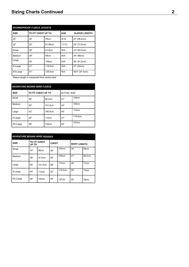| <b>SHOWERPROOF FLEECE JACKETS</b> |                    |                  |            |                      |  |  |
|-----------------------------------|--------------------|------------------|------------|----------------------|--|--|
| <b>SIZE</b>                       | TO FIT CHEST UP TO |                  | <b>AGE</b> | <b>SLEEVE LENGTH</b> |  |  |
| 30"                               | 30"                | 76cm             | 9/10       | 27" (68.5cm)         |  |  |
| 32"                               | 32"                | 81-86cm          | 11/13      | 29" (73.5cm)         |  |  |
| Small                             | 36"                | 91.5cm           | N/A        | 33" (83.5cm)         |  |  |
| Medium                            | 39"                | 99 <sub>cm</sub> | N/A        | 34" (86cm)           |  |  |
| Large                             | 43"                | 109cm            | N/A        | 36" (91.5cm)         |  |  |
| X-Large                           | 47"                | 119.5cm          | N/A        | 37" (94cm)           |  |  |
| XX-Large                          | 51"                | 129.5cm          | N/A        | 38.5" (97.5cm)       |  |  |

Sleeve length is measured from centre back

| <b>ADVENTURE BEGINS HERE FLEECE</b> |                    |         |                    |         |  |  |
|-------------------------------------|--------------------|---------|--------------------|---------|--|--|
| <b>SIZE</b>                         | TO FIT CHEST UP TO |         | <b>ACTUAL SIZE</b> |         |  |  |
| Small                               | 38"                | 96.5cm  | 41"                | 104cm   |  |  |
| Medium                              | 40"                | 101.5cm | 43"                | 109cm   |  |  |
| Large                               | 42"                | 106.5cm | 45"                | 114cm   |  |  |
| X-Large                             | 44"                | 112cm   | 47"                | 119.5cm |  |  |
| XX-Large                            | 48"                | 122cm   | 50"                | 127cm   |  |  |

| <b>ADVENTURE BEGINS HERE HOODIES</b> |                       |         |              |         |                    |        |  |
|--------------------------------------|-----------------------|---------|--------------|---------|--------------------|--------|--|
| <b>SIZE</b>                          | TO FIT CHEST<br>UP TO |         | <b>CHEST</b> |         | <b>BODY LENGTH</b> |        |  |
| Small                                | 34"                   | 86cm    | 40"          | 104cm   | 26"                | 66cm   |  |
| Medium                               | 36"                   | 91.5cm  | 44"          | 109cm   | 27"                | 68.5cm |  |
| Large                                | 40"                   | 101.5cm | 48"          | 114cm   | 28"                | 71cm   |  |
| X-Large                              | 44"                   | 112cm   | 52"          | 119.5cm | 29"                | 74cm   |  |
| XX-Large                             | 48"                   | 122cm   | 58"          | 127cm   | 30"                | 76cm   |  |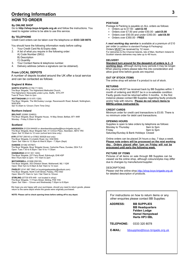## **Ordering Information**

## **HOW TO ORDER**

#### **By ONLINE SHOP**

Go to **http://shop.boys-brigade.org.uk** and follow the instructions. You need to register online to be able to use this service.

#### **By TELEPHONE**

Credit Card orders can be taken over the telephone on **0333 320 8078**.

You should have the following information ready before calling:

- 1. Your Credit Card No & Expiry date.
- 2. A list of what you require in the following order:
	- A) Code Number (SKU)
	- B) Description
	- C) Quantity
- 3. Your Contact Name & telephone number.
- 4. Delivery address (where a signature can be obtained).

#### **From LOCAL DEPOTS**

A number of depots located around the UK offer a local service and can be contacted as follows:

#### **England & Wales**

**NORTH STAFFS** (01782 711303) The Boys' Brigade, The Higherland Methodist Church, The Higherland, Newcastle-under-Lyme, Staffs, ST5 2TF Tues & Thurs 10am to 2pm

**NOTTINGHAM** (0115 975 1326)

The Boys' Brigade, The McCluskey Lounge, Ravensworth Road, Bulwell, Nottingham, NG6 8FN

Sat 10.30am to 12noon (Term Time Only)

#### **Northern Ireland**

#### **BELFAST** (02890 324853)

The Boys' Brigade, Boys' Brigade House, 14 May Street, Belfast, BT1 4NR Monday - Friday 9.30am to 5pm

#### **Scotland**

**ABERDEEN** (01224 644400 or aberdeenbbsupplies@boys-brigade.org.uk)<br>The Boys' Brigade, Boys' Brigade Hall, 31 Crimon Place, Aberdeen, AB10 1RX Open: Sat 10.30am to 12 noon (school term time only) **.**

**AYR** (07787 206143 or 07802 300529 *text only*) The Boys' Brigade, 8 Limekiln Road, Ayr, KA8 8DG Open: Sat 10am to 12.30pm & Wed 6.30pm - 7.30pm (Sept)

**DUNDEE** (01382 457567) The Boys' Brigade, Boys' Brigade House, Carlochie Place, Dundee, DD4 7LX Open: Tues 7:30 to 8:30pm / Sat 10 to 11:30am

**EDINBURGH** (0131 551 1200) The Boys' Brigade, 227 Ferry Road, Edinburgh, EH6 4SP Mon-Thurs 9am to 2pm / Fri 10am to 2pm

**MOTHERWELL** (01698 259135) The Boys' Brigade, 353 Orbiston Street, Motherwell, ML1 1QW Open: Wed 7pm to 8:30pm & Sat 10am to 12 noon

**PAISLEY** (0141 887 3942 or boysbrigadepaisley@outlook.com) The Boys' Brigade, North Croft Street, Paisley, PA3 4AD Open: Mon-Fri 10am to 1pm / Sat 10am to 12noon

**STIRLING** (07730 679 449 - not located in shop) The Boys' Brigade, 11 Friars Street, Stirling, FK8 1HA Open: Sat 10am – 12noon and Wednesday 7.00pm to 8.00pm

We hope you are happy with your purchases, should you need to return goods, please return to the same depot where the goods were originally purchased.

**NOTE: Please call to check opening times before setting off to any depot.**

#### **POSTAGE**

 $\bullet$ 

Postage & Packing is payable on ALL orders as follows:

- Orders up to £7.50 **add £2.50**
- Orders over £7.50 and under £50.00 **add £5.00**
- Orders over £50.00 and under £350.00 **add £6.50**
- Orders over £350.00 **FREE**

A *next working day service* is available at a premium of £10 per order (in addition to standard Postage & Packaging). Orders MUST be received by 12 noon. For deliveries to the Channel Islands, Isle of Man, Northern Ireland & Scottish Islands deliveries may take up to 48 hours.

#### **DELIVERY**

**Standard turn around for the despatch of orders is 3 - 5 working days**, although during busy periods it may be longer. When placing orders please take this into consideration and allow good time before goods are required.

#### **OUT OF STOCK ITEMS**

The online shop will advise if a product is out of stock.

#### **RETURNS**

Any returns MUST be received back by BB Supplies within 1 month of ordering and MUST be in a re-saleable condition. Faulty goods must be returned within 3 months. In the first instance please contact BB Supplies regarding faulty products and/or help with returns. **Please do not return items to BBHQ unless instructed to.**

#### **CREDIT CARDS**

Minimum order for credit card transactions is £5.00. There is no minimum order for debit card transactions.

#### **OPENING HOURS**

Supplies is open to take orders by telephone as follows:<br>Monday to Thursday<br>9am to 5pm Monday to Thursday<br>Friday 9am to 5pm Saturday/Sunday & Bank Holidays Closed

Online orders can be placed 24 hours a day, 7 days a week. **Please note orders will be processed on the next working day. Orders placed after 1pm on Friday will not be processed until early the following week.**

#### **PICTURE OF ITEMS**

Pictures of all items on sale through BB Supplies can be viewed via the online shop, although colours/styles may differ due to changes by manufacturer/supplier.

#### DESCRIPTIONS

Please visit the online shop\_http://shop.boys-brigade.org.uk for detailed description of products.

For instructions on how to return items or any other enquiries please contact BB Supplies:

**ADDRESS: BB SUPPLIES BB Headquarters Felden Lodge Hemel Hempstead Herts HP3 0BL**

**TELEPHONE:** 0333 320 8078

**E-MAIL:** [bbsupplies@boys-brigade.org.uk](mailto:bbsupplies@boys-brigade.org.uk)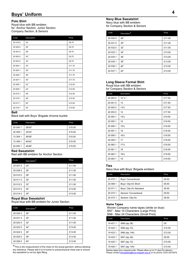## **Boys' Uniform**

#### **Polo Shirt**

Royal blue with BB emblem for Anchor Section, Junior Section, Company Section, & Seniors

| Code     | Description | Price  |
|----------|-------------|--------|
| 20 019 0 | 24"         | £9.75  |
| 20 000 0 | 26"         | £9.75  |
| 20 001 0 | 28"         | £9.75  |
| 20 002 0 | 30"         | £9.75  |
| 20 003 0 | 32"         | £9.75  |
| 20 004 1 | 34"         | £11.75 |
| 20 005 1 | 36"         | £11.75 |
| 20 006 1 | 38"         | £11.75 |
| 20 007 1 | 40"         | £11.75 |
| 20 008 1 | 42"         | £12.50 |
| 20 009 1 | 44"         | £12.50 |
| 20 015 1 | 46"         | £12.50 |
| 20 016 1 | 48"         | £12.50 |
| 20 017 1 | 50"         | £13.00 |
| 20 018 1 | 52"         | £13.00 |

#### **Belt**

Black belt with Boys' Brigade chrome buckle

| Code     | <b>Description</b> | Price  |
|----------|--------------------|--------|
| 20 040 1 | 28/30"             | £15.00 |
| 20 049 1 | 32/34"             | £15.00 |
| 13 304 1 | 36/38"             | £15.00 |
| 13 308 1 | 40/42"             | £15.00 |
| 20 045 1 | 44/46"             | £15.00 |

#### **Red Sweatshirt**

Red with BB emblem for Anchor Section

| Code     | Description* | Price  |
|----------|--------------|--------|
| 20 027 0 | 24"          | £11.00 |
| 20 028 0 | 26"          | £11.00 |
| 20 010 0 | 28"          | £11.00 |
| 20 011 0 | 30"          | £11.00 |
| 20 012 0 | 32"          | £11.00 |
| 20 013 0 | 34"          | £13.00 |
| 20 014 0 | 36"          | £13.00 |

#### **Royal Blue Sweatshirt**

Royal blue with BB emblem for Junior Section

| Code     | Description* | Price  |
|----------|--------------|--------|
| 20 020 0 | 28"          | £11.00 |
| 20 021 0 | 30"          | £11.00 |
| 20 022 0 | 32"          | £11.00 |
| 20 023 0 | 34"          | £13.00 |
| 20 024 0 | 36"          | £13.00 |
| 20 025 0 | 38"          | £13.00 |
| 20 026 0 | 40"          | £13.00 |

 $*$ This is the measurement of the chest on the actual garment, without allowing any tolerance. Please add 4 to 6 inches to actual physical chest size to ensure the sweatshirt is not too tight fitting.

#### **Navy Blue Sweatshirt**

Navy blue with BB emblem for Company Section & Seniors

| Code     | Description* | Price  |
|----------|--------------|--------|
| 20 030 0 | 28"          | £11.00 |
| 20 031 0 | 30"          | £11.00 |
| 20 032 0 | 32"          | £11.00 |
| 20 033 1 | 34"          | £13.00 |
| 20 034 1 | 36"          | £13.00 |
| 20 035 1 | 38"          | £13.00 |
| 20 036 1 | 40"          | £13.00 |
| 20 037 1 | 42"          | £13.00 |

#### **Long Sleeve Formal Shirt**

Royal blue with BB emblem for Company Section & Seniors

| Code     | Description     | Price  |
|----------|-----------------|--------|
| 20 050 0 | 12 1/2 "        | £17.50 |
| 20 051 0 | 13              | £17.50 |
| 20 052 0 | $13\frac{1}{2}$ | £17.50 |
| 20 053 0 | 14              | £17.50 |
| 20 054 1 | $14\frac{1}{2}$ | £19.50 |
| 20 055 1 | 15              | £19.50 |
| 20 056 1 | 15%             | £19.50 |
| 20 057 1 | 16              | £19.50 |
| 20 058 1 | $16\frac{1}{2}$ | £19.50 |
| 20 059 1 | 17              | £19.50 |
| 20 060 1 | $17\frac{1}{2}$ | £19.50 |
| 20 061 1 | 18              | £19.50 |
| 20 062 1 | $18\frac{1}{2}$ | £19.50 |
| 20 063 1 | 19              | £19.50 |

#### **Ties**

Navy blue with Boys' Brigade emblem

| Code     | Description            | Price |
|----------|------------------------|-------|
| 20 070 1 | Boys' Conventional     | £8.50 |
| 20 069 1 | Boys' Clip-On Short    | £8.50 |
| 20 071 1 | Boys' Clip-On Standard | £8.50 |
| 20 072 1 | Seniors' Conventional  | £8.50 |
| 20 073 1 | Seniors' Clip-On       | £8.50 |

#### **Name Tapes**

 Woven Company name tapes (white on blue) SN7 - Max 14 Characters (Large Print) SN8 - Max 24 Characters (Small Print)

| Code      | Description   | Price  |
|-----------|---------------|--------|
| 19 4 21 1 | SN8 (qty 36)  | £9     |
| 19 4 22 1 | SN8 (qty 72)  | £10.50 |
| 19 4 23 1 | SN8 (qty 144) | £13.00 |
| 19 4 24 1 | SN7 (qty 36)  | £9.00  |
| 19 4 25 1 | SN7 (qty 72)  | £10.50 |
| 19 4 26 1 | SN7 (qty 144) | £13.00 |

Names tapes are a special order. Please allow up to 21 days for delivery.<br>Please contact **bisupplies@boys-brigade.org.uk** or by phone: 0333 320 plies@boys-brigade.org.uk or by phone: 0333 320 8078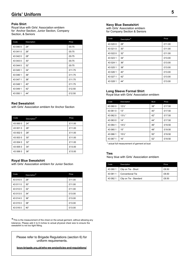#### **Polo Shirt**

Royal blue with Girls' Association emblem for Anchor Section, Junior Section, Company Section, & Seniors

| Code     | Description | Price  |
|----------|-------------|--------|
| 43 040 0 | 24"         | £9.75  |
| 43 041 0 | 26"         | £9.75  |
| 43 042 0 | 28"         | £9.75  |
| 43 043 0 | 30"         | £9.75  |
| 43 044 0 | 32"         | £9.75  |
| 43 045 1 | 34"         | £11.75 |
| 43 046 1 | 36"         | £11.75 |
| 43 047 1 | 38"         | £11.75 |
| 43 048 1 | 40"         | £11.75 |
| 43 049 1 | 42"         | £12.50 |
| 43 050 1 | 44"         | £12.50 |

#### **Red Sweatshirt**

with Girls' Association emblem for Anchor Section

| Code     | Description* | Price  |
|----------|--------------|--------|
| 43 000 0 | 24"          | £11.00 |
| 43 001 0 | 26"          | £11.00 |
| 43 002 0 | 28"          | £11.00 |
| 43 003 0 | 30"          | £11.00 |
| 43 004 0 | 32"          | £11.00 |
| 43 005 0 | 34"          | £13.00 |
| 43 006 0 | 36"          | £13.00 |
|          |              |        |

#### **Royal Blue Sweatshirt**

with Girls' Association emblem for Junior Section

| Code     | Description* | Price  |
|----------|--------------|--------|
| 43 010 0 | 28"          | £11.00 |
| 43 011 0 | 30"          | £11.00 |
| 43 012 0 | 32"          | £11.00 |
| 43 013 0 | 34"          | £13.00 |
| 43 014 0 | 36"          | £13.00 |
| 43 015 0 | 38"          | £13.00 |
| 43 016 0 | 40"          | £13.00 |

\*This is the measurement of the chest on the actual garment, without allowing any tolerance. Please add 4 to 6 inches to actual physical chest size to ensure the sweatshirt is not too tight fitting.

Please refer to Brigade Regulations (section 6) for uniform requirements.

**boys-brigade.org.uk/who-we-are/policies-and-regulations/**

#### **Navy Blue Sweatshirt**

with Girls' Association emblem for Company Section & Seniors

| Code      | Description* | Price  |
|-----------|--------------|--------|
| 43 020 0  | 28"          | £11.00 |
| 43 021 0  | 30"          | £11.00 |
| 43 022 0  | 32"          | £11.00 |
| 43 023 1  | 34"          | £13.00 |
| 43 0 24 1 | 36"          | £13.00 |
| 43 0 25 1 | 38"          | £13.00 |
| 43 0 26 1 | 40"          | £13.00 |
| 43 027 1  | 42"          | £13.00 |
| 43 028 1  | 44"          | £13.00 |

#### **Long Sleeve Formal Shirt**

Royal blue with Girls' Association emblem

| Code     | Description       | <b>Bust</b> | Price  |
|----------|-------------------|-------------|--------|
| 43 060 0 | $12\frac{1}{2}$   | 38"         | £17.50 |
| 43 061 0 | 13"               | 40"         | £17.50 |
| 43 062 0 | $13\frac{1}{2}$ " | 42"         | £17.50 |
| 43 063 0 | 14"               | 44"         | £17.50 |
| 43 064 1 | $14\frac{1}{2}$   | 46"         | £19.50 |
| 43 065 1 | 15"               | 48"         | £19.50 |
| 43 066 1 | $15\frac{1}{2}$   | 50"         | £19.50 |
| 43 067 1 | 16"               | 52"         | £19.50 |

\* actual full measurement of garment at bust

#### **Ties**

Navy blue with Girls' Association emblem

| Code     | Description             | Price |
|----------|-------------------------|-------|
| 43 080 1 | Clip on Tie - Short     | £8.50 |
| 43 081 1 | <b>Conventional Tie</b> | £8.50 |
| 43 082 1 | Clip on Tie - Standard  | £8.50 |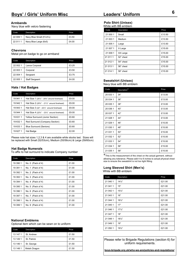## **Boys' / Girls' Uniform Misc**

#### **Armbands**

Navy blue with velcro fastening

| Code     | Description               | Price |
|----------|---------------------------|-------|
| 22 009 1 | Navy Blue Small (5"x31/4) | £3.50 |
| 22 011 1 | Navy Blue Large (6x5)     | £4.00 |

#### **Chevrons**

Metal pin-on badge to go on armband

| Code     | Description           | Price |
|----------|-----------------------|-------|
| 22 002 1 | Lance Corporal        | £3.25 |
| 22 003 1 | Corporal              | £3.50 |
| 22 004 1 | Sergeant              | £3.75 |
| 22 005 1 | <b>Staff Sergeant</b> | £4.00 |

#### **Hats / Hat Badges**

| Code     | Description                                                        | Price |
|----------|--------------------------------------------------------------------|-------|
| 19 941 1 | Hat Size 1 $(20\frac{1}{2})$ - $20\frac{3}{4}$ " around forehead)  | £9.00 |
| 19 942 1 | Hat Size $2(20\frac{3}{4} - 21\frac{1}{2})$ around forehead)       | £9.00 |
| 19 943 1 | Hat Size $3(22" - 22\frac{1}{2}"$ around forehead)                 | £9.00 |
| 19 944 1 | Hat Size 4 $(22\frac{3}{4}$ " - $23\frac{1}{2}$ " around forehead) | £9.00 |
| 19 631 1 | Yellow Surround (Junior Section)                                   | £0.60 |
| 19 632 1 | Red Surround (Company Section)                                     | £0.60 |
| 19 633 1 | <b>Blue Surround (Seniors)</b>                                     | £0.60 |
| 19 627 1 | Hat Badge                                                          | £2.00 |

Please note hat sizes 1,2,3 & 4 are available while stocks last. Sizes will be replaced with Small (52/53cm), Medium (55/56cm) & Large (59/60cm)

#### **Hat Badge Numerals**

To affix to hat surround to indicate Company number

| Code     | Description         | Price |
|----------|---------------------|-------|
| 19 390 1 | No. $0$ (Pack of 4) | £1.00 |
| 19 391 1 | No. 1 (Pack of 4)   | £1.00 |
| 19 392 1 | No. 2 (Pack of 4)   | £1.00 |
| 19 393 1 | No. $3$ (Pack of 4) | £1.00 |
| 19 394 1 | No. 4 (Pack of 4)   | £1.00 |
| 19 395 1 | No. 5 (Pack of 4)   | £1.00 |
| 19 396 1 | No. $6$ (Pack of 4) | £1.00 |
| 19 397 1 | No. 7 (Pack of 4)   | £1.00 |
| 19 398 1 | No. 8 (Pack of 4)   | £1.00 |
| 19 399 1 | No. $9$ (Pack of 4) | £1.00 |

#### **National Emblems**

Optional item which can be sewn on to uniform

| Code     | Description  | Price |
|----------|--------------|-------|
| 13 147 1 | St. Andrew   | £1.50 |
| 13 149 1 | St. Patrick  | £1.50 |
| 13 146 1 | St. George   | £1.50 |
| 13 148 1 | Welsh Dragon | £1.50 |

# **<sup>6</sup> Leaders' Uniform**

#### **Polo Shirt (Unisex)**

White with BB emblem

| Code     | Description | Price  |
|----------|-------------|--------|
| 21 000 1 | Small       | £13.50 |
| 21 003 1 | Medium      | £13.50 |
| 21 005 1 | Large       | £13.50 |
| 21 007 1 | X Large     | £15.00 |
| 21 009 1 | XX Large    | £15.00 |
| 21 011 1 | 52" chest   | £15.00 |
| 21 012 1 | 54" chest   | £15.00 |
| 21 013 1 | 56" chest   | £15.00 |
| 21 014 1 | 58" chest   | £15.00 |

#### **Sweatshirt (Unisex)**

Navy blue with BB emblem

| Code     | Description* | Price  |
|----------|--------------|--------|
| 20 033 1 | 34"          | £13.00 |
| 20 034 1 | 36"          | £13.00 |
| 20 035 1 | 38"          | £13.00 |
| 20 036 1 | 40"          | £13.00 |
| 20 037 1 | 42"          | £13.00 |
| 21 028 1 | 44"          | £13.00 |
| 21 029 1 | 46"          | £15.00 |
| 21 030 1 | 48"          | £15.00 |
| 21 031 1 | 50"          | £15.00 |
| 21 032 1 | 52"          | £15.00 |
| 21 033 1 | 54"          | £15.00 |
| 21 034 1 | 56"          | £15.00 |
| 21 035 1 | 58"          | £15.00 |

\*This is the measurement of the chest on the actual garment, without allowing any tolerance. Please add 4 to 6 inches to actual physical chest size to ensure the sweatshirt is not too tight fitting.

#### **Long Sleeved Shirt (Men's)** White with BB emblem

| Code     | Description     | Price  |
|----------|-----------------|--------|
| 21 040 1 | $14\frac{1}{2}$ | £21.00 |
| 21 041 1 | 15"             | £21.00 |
| 21 042 1 | $15\frac{1}{2}$ | £21.00 |
| 21 043 1 | 16"             | £21.00 |
| 21 044 1 | $16\frac{1}{2}$ | £21.00 |
| 21 045 1 | 17"             | £21.00 |
| 21 046 1 | $17\frac{1}{2}$ | £21.00 |
| 21 047 1 | 18"             | £21.00 |
| 21 048 1 | $18\frac{1}{2}$ | £21.00 |
| 21 049 1 | 19"             | £21.00 |
| 21 050 1 | $19\frac{1}{2}$ | £21.00 |

Please refer to Brigade Regulations (section 6) for uniform requirements.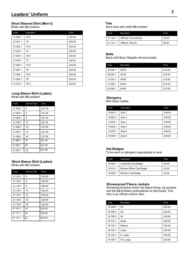## **Short Sleeved Shirt (Men's)**

White with BB emblem

| Code     | Description     | Price  |
|----------|-----------------|--------|
| 21 060 1 | $14\frac{1}{2}$ | £20.50 |
| 21 061 1 | 15"             | £20.50 |
| 21 062 1 | $15\frac{1}{2}$ | £20.50 |
| 21 063 1 | 16"             | £20.50 |
| 21 064 1 | $16\frac{1}{2}$ | £20.50 |
| 21 065 1 | 17"             | £20.50 |
| 21 066 1 | $17\frac{1}{2}$ | £20.50 |
| 21 067 1 | 18"             | £20.50 |
| 21 068 1 | $18\frac{1}{2}$ | £20.50 |
| 21 069 1 | 19"             | £20.50 |
| 21 070 1 | 191/2"          | £20.50 |

#### **Long Sleeve Shirt (Ladies)** White with BB emblem

| Code     | Garment Size | Price  |
|----------|--------------|--------|
| 21 082 1 | 4            | £21.00 |
| 21 083 1 | 6            | £21.00 |
| 21 084 1 | 8            | £21.00 |
| 21 085 1 | 10           | £21.00 |
| 21 086 1 | 12           | £21.00 |
| 21 087 1 | 14           | £21.00 |
| 21 088 1 | 16           | £21.00 |
| 21 089 1 | 18           | £21.00 |
| 21 090 1 | 20           | £21.00 |
| 21 091 1 | 22           | £21.00 |

#### **Short Sleeve Shirt (Ladies)** White with BB emblem

| Code     | Garment Size | Price  |
|----------|--------------|--------|
| 21 103 1 | 4            | £20.50 |
| 21 104 1 | 6            | £20.50 |
| 21 105 1 | 8            | £20.50 |
| 21 106 1 | 10           | £20.50 |
| 21 107 1 | 12           | £20.50 |
| 21 108 1 | 14           | £20.50 |
| 21 109 1 | 16           | £20.50 |
| 21 110 1 | 18           | £20.50 |
| 21 111 1 | 20           | £20.50 |
| 21 112 1 | 22           | £20.50 |

#### **Ties**

Navy blue with white BB emblem

| Code     | Description            | Price |
|----------|------------------------|-------|
| 21 120 1 | Officers' Conventional | £8.50 |
| 21 121 1 | Officers' Clip-On      | £8.50 |

#### **Belts**

Black with Boys' Brigade chrome buckle

| Code     | Description | Price  |
|----------|-------------|--------|
| 20 040 1 | 28/30"      | £15.00 |
| 20 049 1 | 32/34"      | £15.00 |
| 13 304 1 | 36/38"      | £15.00 |
| 13 308 1 | 40/42"      | £15.00 |
| 20 045 1 | 44/46"      | £15.00 |

#### **Glengarry**

With black rosette

| Code      | Description | Price  |
|-----------|-------------|--------|
| 19 9 21 1 | Size 1      | £49.00 |
| 19 922 1  | Size 2      | £49.00 |
| 19 923 1  | Size 3      | £49.00 |
| 19 9 24 1 | Size 4      | £49.00 |
| 19 9 25 1 | Size 5      | £49.00 |
| 19 9 26 1 | Size 6      | £49.00 |

#### **Hat Badges**

To be worn on glengarry appropriate to rank

| Code     | Description               | Price |
|----------|---------------------------|-------|
| 19 606 1 | Lieutenant Cap Badge      | £5.00 |
| 196101   | Warrant Officer Cap Badge | £2.00 |
| 196361   | Women's Hat Badge         | £3.00 |

#### **Showerproof Fleece Jackets**

Showerproof jacket which has fleece lining, zip pockets and the BB Emblem embroidered on left breast. This item is an official uniform item.

| Code     | Description | Price  |
|----------|-------------|--------|
| 18 098 0 | 30"         | £24.00 |
| 18 099 0 | 32"         | £24.00 |
| 18 100 0 | 34"         | £24.00 |
| 18 101 1 | Small       | £30.00 |
| 18 102 1 | Medium      | £30.00 |
| 18 103 1 | Large       | £30.00 |
| 18 104 1 | X-Large     | £30.00 |
| 18 105 1 | XX-Large    | £30.00 |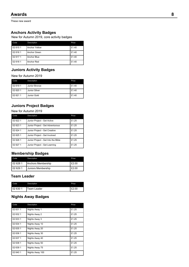These new award

## **Anchors Activity Badges**

New for Autumn 2019, core activity badges

| Code     | Description          | Price |
|----------|----------------------|-------|
| 02 615 1 | <b>Anchor Yellow</b> | £1.40 |
| 02 616 1 | Anchor Green         | £1.40 |
| 02 617 1 | Anchor Blue          | £1.40 |
| 02 618 1 | Anchor Red           | £1.40 |

## **Juniors Activity Badges**

New for Autumn 2019

| Code     | Description          | Price |
|----------|----------------------|-------|
| 02 619 1 | Junior Bronze        | £1.40 |
| 02 620 1 | <b>Junior Silver</b> | £1.40 |
| 02 621 1 | Junior Gold          | £1.40 |

## **Juniors Project Badges**

#### New for Autumn 2019

| Code     | Description                         | Price |
|----------|-------------------------------------|-------|
| 02 622 1 | Junior Project - Get Active         | £1.25 |
| 02 623 1 | Junior Project - Get Adventurous    | £1.25 |
| 02 624 1 | Junior Project - Get Creative       | £1.25 |
| 02 625 1 | Junior Project - Get Involved       | £1.25 |
| 02 626 1 | Junior Project - Get Into the Bible | £1.25 |
| 02 627 1 | Junior Project - Get Learning       | £1.25 |

## **Membership Badges**

| Code     | Description               | Price |
|----------|---------------------------|-------|
| 02 628 1 | <b>Anchors Membership</b> | £2.00 |
| 02 629 1 | Juniors Membership        | £2.00 |

## **Team Leader**

| Code     | Description | Price |
|----------|-------------|-------|
| 02 630 1 | Team Leader | £2.00 |

## **Nights Away Badges**

| Code     | Description     | Price |
|----------|-----------------|-------|
| 02 631 1 | Nights Away 1   | £1.25 |
| 02 632 1 | Nights Away 2   | £1.25 |
| 02 633 1 | Nights Away 3   | £1.25 |
| 02 634 1 | Nights Away 10  | £1.25 |
| 02 635 1 | Nights Away 20  | £1.25 |
| 02 636 1 | Nights Away 30  | £1.25 |
| 02 637 1 | Nights Away 40  | £1.25 |
| 02 638 1 | Nights Away 50  | £1.25 |
| 02 639 1 | Nights Away 75  | £1.25 |
| 02 640 1 | Nights Away 100 | £1.25 |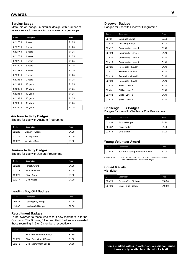#### **Service Badge**

Metal pin-on badge, in circular design with number of years service in centre - for use across all age groups

| Code     | Description | Price |
|----------|-------------|-------|
| 02 275 1 | 1 year      | £1.25 |
| 02 276 1 | 2 years     | £1.25 |
| 02 277 1 | 3 years     | £1.25 |
| 02 278 1 | 4 years     | £1.25 |
| 02 279 1 | 5 years     | £1.25 |
| 02 280 1 | 6 years     | £1.25 |
| 02 281 1 | 7 years     | £1.25 |
| 02 282 1 | 8 years     | £1.25 |
| 02 283 1 | 9 years     | £1.25 |
| 02 284 1 | 10 years    | £1.25 |
| 02 285 1 | 11 years    | £1.25 |
| 02 286 1 | 12 years    | £1.25 |
| 02 287 1 | 13 years    | £1.25 |
| 02 288 1 | 14 years    | £1.25 |
| 02 289 1 | 15 years    | £1.25 |

#### **Anchors Activity Badges**

Badges for use with Anchors Programme

| Code     | Description      | Price |
|----------|------------------|-------|
| 02 220 1 | Activity - Green | £1.00 |
| 02 221 1 | Activity - Red   | £1.00 |
| 02 222 1 | Activity - Blue  | £1.00 |

#### **Juniors Activity Badges**

Badges for use with Juniors Programme

| Code     | Description         | Price |
|----------|---------------------|-------|
| 02 223 1 | <b>Target Award</b> | £1.00 |
| 02 224 1 | <b>Bronze Award</b> | £1.00 |
| 02 225 1 | Silver Award        | £1.00 |
| 02 217 1 | Gold Award          | £1.00 |

#### **Leading Boy/Girl Badges**

| Code     | Description        | Price |
|----------|--------------------|-------|
| 19 635 1 | Leading Boy Badge  | £2.00 |
| 19 637 1 | Leading Girl Badge | £2.00 |

#### **Recruitment Badges**

To be awarded to those who recruit new members in to the Company. The Bronze, Silver and Gold badges are awarded to those recruiting 1, 3 or 5 members respectively.

| Code     | Description                     | Price |
|----------|---------------------------------|-------|
| 02 270 1 | <b>Bronze Recruitment Badge</b> | £1.80 |
| 02 271 1 | <b>Silver Recruitment Badge</b> | £1.80 |
| 02 272 1 | <b>Gold Recruitment Badge</b>   | £1.80 |

#### **Discover Badges**

Badges for use with Discover Programme

| Code       | Description          | Price |
|------------|----------------------|-------|
| 02 421 1   | Compass Badge        | £2.00 |
| 02 4 2 0 1 | Discovery Badge      | £2.00 |
| 02 422 1   | Community - Level 1  | f140  |
| 02 423 1   | Community - Level 2  | £1.40 |
| 02 4 24 1  | Community - Level 3  | £1.40 |
| 02 4 25 1  | Community - Level 4  | £1.40 |
| 02 426 1   | Recreation - Level 1 | f140  |
| 02 427 1   | Recreation - Level 2 | £1.40 |
| 02 428 1   | Recreation - Level 3 | £1.40 |
| 02 429 1   | Recreation - Level 4 | f140  |
| 02 430 1   | Skills - Level 1     | £1.40 |
| 02 431 1   | Skills - Level 2     | f140  |
| 02 432 1   | Skills - Level 3     | £1.40 |
| 02 433 1   | Skills - Level 4     | £1.40 |

#### **Challenge Plus Badges**

Badges for use with Challenge Plus Programme

| Code     | Description         | Price |
|----------|---------------------|-------|
| 02 436 1 | <b>Bronze Badge</b> | £1.20 |
| 02 437 1 | Silver Badge        | £1.20 |
| 02 438 1 | Gold Badge          | £1.20 |

#### **Young Volunteer Award**

| Code     | Description                    | Price |
|----------|--------------------------------|-------|
| 02 442 1 | 200 Hour Young Volunteer Award | £2.00 |
|          |                                |       |

Please Note: Certificates for 50 / 100 / 200 Hours are also available. See Administration / Resources pages

#### **Squad Medals**

with ribbon

| Code      | Description          | Price  |
|-----------|----------------------|--------|
| 03 4 25 1 | Bronze (Red Ribbon)  | £16.50 |
| 03 4 26 1 | Silver (Blue Ribbon) | £16.50 |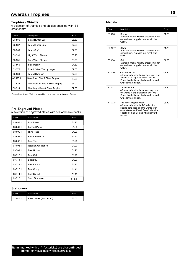#### **Trophies / Shields**

A selection of trophies and shields supplied with BB crest centre

| Code     | Description                     | Price |
|----------|---------------------------------|-------|
| 03 585 1 | Small Hunter Cup                | £5.50 |
| 03 587 1 | Large Hunter Cup                | £7.50 |
| 03 559 1 | Large Cup*                      | £7.00 |
| 03 530 1 | Light Wood Plaque               | £3.20 |
| 03 531 1 | Dark Wood Plaque                | £3.50 |
| 03 560 1 | Star Trophy                     | £4.30 |
| 03 575 1 | Blue & Silver Trophy Large      | £7.50 |
| 03 580 1 | Large Silver cup                | £7.50 |
| 03 520 1 | New Small Blue & Silver Trophy  | £5.50 |
| 03 522 1 | New Medium Blue & Silver Trophy | £6.00 |
| 03 524 1 | New Large Blue & Silver Trophy  | £7.50 |

Please Note: Styles / Colours may differ due to changes by the manufacturer.

#### **Pre-Engraved Plates**

A selection of engraved plates with self adhesive backs

| Code     | <b>Description</b>     | Price |
|----------|------------------------|-------|
| 03 688 1 | <b>First Place</b>     | £1.20 |
| 03 689 1 | Second Place           | £1.20 |
| 03 690 1 | <b>Third Place</b>     | £1.20 |
| 03 691 1 | <b>Best Attendance</b> | £1.20 |
| 03 692 1 | <b>Best Tent</b>       | £1.20 |
| 03 693 1 | Regular Attendance     | £1.20 |
| 03 709 1 | <b>Best Uniform</b>    | £1.20 |
| 03 710 1 | <b>Best Girl</b>       | £1.20 |
| 03 711 1 | Best Boy               | £1.20 |
| 03 712 1 | <b>Best Recruit</b>    | £1.20 |
| 03 713 1 | <b>Best Group</b>      | £1.20 |
| 03 714 1 | <b>Best Squad</b>      | £1.20 |
| 03 715 1 | Star of the Week       | £1.20 |

#### **Stationery**

| Code     | Description               | Price |
|----------|---------------------------|-------|
| 31 946 1 | Prize Labels (Pack of 10) | £3.00 |

#### **Medals**

| Code     | Description                                                                                                                                                                                        | Price |
|----------|----------------------------------------------------------------------------------------------------------------------------------------------------------------------------------------------------|-------|
| 03 436 1 | <b>Bronze</b><br>Standard medal with BB crest centre for<br>general use, supplied in a small blue<br>wallet                                                                                        | £175  |
| 03 437 1 | Silver<br>Standard medal with BB crest centre for<br>general use, supplied in a small blue<br>wallet                                                                                               | £175  |
| 03 438 1 | Gold<br>Standard medal with BB crest centre for<br>general use, supplied in a small blue<br>wallet                                                                                                 | £175  |
| 11 230 1 | Anchors Medal<br>45mm medal with the Anchors logo and<br>the words 'Congratulations' and 'Well<br>Done'. Medal is supplied on a blue and<br>white lanyard ribbon.                                  | £3.30 |
| 11 231 1 | Juniors Medal<br>45mm medal with the Juniors logo and<br>the words 'Congratulations' and 'Well<br>Done'. Medal is supplied on a blue and<br>white lanyard ribbon.                                  | £3.30 |
| 11 232 1 | The Boys' Brigade Medal<br>45mm medal with the BB 'adventure<br>begins here' logo and the words 'Con-<br>gratulations' and 'Well Done'. Medal is<br>supplied on a blue and white lanyard<br>ribbon | £3.30 |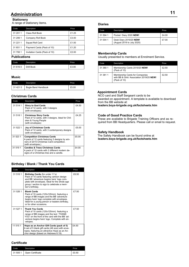## **Administration**

#### **Stationery**

A range of stationery items.

| Code     | Description                   | Price |
|----------|-------------------------------|-------|
| 31 201 1 | Class Roll Book               | £1.25 |
| 31 206 1 | Company Roll Book             | £3.00 |
| 31 221 1 | Squad Roll Card               | £1.00 |
| 31 651 1 | Payment Cards (Pack of 10)    | £1.20 |
| 31 706 1 | Invitation Cards (Pack of 10) | £2.00 |

#### **Publications**

| Code <sup>1</sup> | Description | Price |
|-------------------|-------------|-------|
| 31 616 0          | Drill Book  | £3.00 |

#### **Music**

| Code      | Description                | Price |
|-----------|----------------------------|-------|
| 31 4 21 0 | <b>Bugle Band Handbook</b> | £5.00 |

#### **Christmas Cards**

| Code     | Description                                                                                                                                           | Price |
|----------|-------------------------------------------------------------------------------------------------------------------------------------------------------|-------|
| 31 514 1 | <b>Glory to God Cards</b><br>Pack of 12 cards, with 3 designs<br>(with envelopes)                                                                     | £4.50 |
| 31 518 1 | <b>Christmas Story Cards</b><br>Pack of 12 cards, with 3 designs. Ideal for Chil-<br>dren & Young People<br>(with envelopes)                          | £4.25 |
| 31 522 1 | <b>Joy of Christmas Cards</b><br>Pack of 12 cards, with 3 contemporary designs<br>(with envelopes)                                                    | £5.00 |
| 31 523 1 | <b>Competition Christmas Cards</b><br>A pack of 12 cards featuring 3 designs by win-<br>ners of 2015 Christmas Card competition.<br>(with envelopes.) | £5.00 |
| 31 519 1 | <b>Candles &amp; Trees Christmas Cards</b><br>A pack of 10 cards with 2 different modern de-<br>signs of a Christmas tree and a candle.               | £4.00 |

#### **Birthday / Blank / Thank You Cards**

| Code     | Description                                                                                                                                                                                                                                 | Price |
|----------|---------------------------------------------------------------------------------------------------------------------------------------------------------------------------------------------------------------------------------------------|-------|
| 31 516 1 | Birthday Cards (for under 11's)<br>Pack of 10 cards featuring cartoon design<br>and BB 'adventure begins here' logo com-<br>plete with envelopes. Ideal for the whole age<br>group / section to sign to celebrate a mem-<br>ber's birthday. | £6.50 |
| 31 526 1 | <b>Blank Cards</b><br>Pack of 10 cards (120x120mm) featuring a<br>range of BB images and the BB 'adventure<br>begins here' logo complete with envelopes.<br>Ideal for a young person or leaders birthday,<br>or for other occasions.        | £7.50 |
| 31 527 1 | <b>Thank You Cards</b><br>Pack of 10 cards (120x120mm) featuring a<br>range of BB images and the text; THANK<br>YOU' on the front of the card with the BB 'ad-<br>venture begins here' logo. Complete with en-<br>velopes.                  | f750  |
| 11 515 1 | Hope as an Anchor Gift Cards (pack of 5)<br>A set of 5 blank gift cards (A6 size) with enve-<br>lopes, featuring an attractive Hope as an An-<br>chor design (based on Hebrews 6:19).                                                       | £4.50 |

#### **Certificate**

| Code | Description               | Price |
|------|---------------------------|-------|
|      | 31 505 1 Open Certificate | £0.50 |

#### **Diaries**

| Code     | Description                                           | Price |
|----------|-------------------------------------------------------|-------|
| 31 594 1 | Pocket Diary 2020 NEW!                                | £4.00 |
| 31 004 1 | Desk Diary 2019/20 NEW!<br>(August 2019 to July 2020) | £7.00 |

#### **Membership Cards**

Usually presented to members at Enrolment Service.

| Code     | Description                                                                                 | Price |
|----------|---------------------------------------------------------------------------------------------|-------|
| 31 380 1 | Membership Cards 2019/20 NEW!<br>(Pack of 10)                                               | £2.50 |
| 31 381 1 | Membership Cards for Companies<br>with BB & Girls' Association 2019/20 NEW!<br>(Pack of 10) | £2.50 |

#### **Appointment Cards**

NCO card and Staff Sergeant cards to be awarded on appointment. A template is available to download from the BB website at: **leaders.boys-brigade.org.uk/factsheets.htm**

#### **Code of Good Practice Cards**

These are available to Brigade Training Officers and as required from BB Headquarters. Please call or email to request.

#### **Safety Handbook**

The Safety Handbook can be found online at **leaders.boys-brigade.org.uk/factsheets.htm**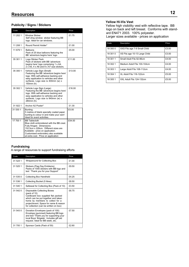## **Resources**

#### **Publicity / Signs / Stickers**

| Code     | Description                                                                                                                                                                                                                                                | Price  |
|----------|------------------------------------------------------------------------------------------------------------------------------------------------------------------------------------------------------------------------------------------------------------|--------|
| 11 202 1 | <b>Window Sticker</b><br>Self cling window sticker featuring BB<br>logo. Ideal for car windows.                                                                                                                                                            | £1.75  |
| 11 208 1 | Round Permit Holder*                                                                                                                                                                                                                                       | £1.00  |
| 11 679 1 | <b>Balloons</b><br>Pack of 25 blue balloons featuring the<br>BB 'adventure begins here' logo                                                                                                                                                               | £5.00  |
| 35 301 1 | Logo Sticker Pack<br>Pack of stickers with BB 'adventure<br>begins here' logo comprising 1 x A4,<br>2 x A5, 4 x A6 and 8 x A7 size stickers.                                                                                                               | £11.00 |
| 35 300 1 | Vehicle Logo Sign (Small)<br>Featuring the BB 'adventure begins here'<br>logo. With self-adhesive backing and<br>easy application to vehicles and other<br>surfaces. Logo size is 400mm (w) x<br>150mm (h).                                                | £13.00 |
| 35 302 1 | Vehicle Logo Sign (Large)<br>Featuring the BB 'adventure begins here'<br>logo. With self-adhesive backing and<br>easy application to vehicles and other<br>surfaces. Logo size is 840mm (w) x<br>280mm (h).                                                | £16.00 |
| 31 922 1 | Anchor A2 Poster*                                                                                                                                                                                                                                          | £1.30  |
| 31 530 1 | <b>Bunting</b><br>5 metres of blank specially coated paper<br>bunting to colour in and make your own!<br>Ideal for event activities.                                                                                                                       | £5.00  |
| 17 700 1 | <b>BB Tablecloth</b><br>Blue cloth embroidered with the BB crest.<br>Fully fringed. Dimensions<br>152.5cm x 228cm. Different sizes are<br>Available - price on application.<br>Customised embroidery also available<br>at extra cost. Price on application | £54.00 |

#### **Yellow Hi-Vis Vest**

Yellow high visibility vest with reflective tape. BB logo on back and left breast. Conforms with standard EN471 2003. 100% polyester. Larger sizes available - prices on application

| Code     | <b>Description</b>            | Price |
|----------|-------------------------------|-------|
| 18 300 0 | XXS Fits age 7-9 Small Child  | £3.00 |
| 18 301 0 | XS Fits age 10-13 Large Child | £3.00 |
| 18 301 1 | Small Adult Fits 92-96cm      | £4.00 |
| 18 302 1 | Medium Adult Fits 100-104cm   | £4.00 |
| 18 303 1 | Large Adult Fits 108-112cm    | £4.00 |
| 18 304 1 | XL Adult Fits 116-122cm       | £5.00 |
| 18 305 1 | XXL Adult Fits 124-132cm      | £5.00 |

#### **Fundraising**

A range of resources to support fundraising efforts

| Code     | Description                                                                                                                                                                                                                                      | Price |
|----------|--------------------------------------------------------------------------------------------------------------------------------------------------------------------------------------------------------------------------------------------------|-------|
| 31 524 1 | Wraparound for Collecting Box                                                                                                                                                                                                                    | £1.00 |
| 31 525 1 | Stickers (Flag Day Emblems)<br>Packs of 1000 stickers with BB logo and<br>text 'Thank you for your Support'                                                                                                                                      | £9.50 |
| 31 535 0 | Collecting Box Handheld                                                                                                                                                                                                                          | £4.25 |
| 31 536 1 | Collecting Bucket (5 litres)                                                                                                                                                                                                                     | £8.50 |
| 31 540 1 | Safeseal for Collecting Box (Pack of 10)                                                                                                                                                                                                         | £3.50 |
| 31.5420  | Disposable Collecting Boxes<br>(pack of 10)<br>Cardboard box supplied flat packed<br>which can be put together and taken<br>home by members to collect for a<br>project/event. Space for name & reason<br>for collection (can be written on box) | £6.75 |
| 31 543 0 | Donation Envelopes (pack of 100)<br>Envelope (gummed) featuring BB logo<br>and text 'Thank you for supporting your<br>local Boys' Brigade'. Includes gift aid<br>request. Ideal for BB week, etc.                                                | £7.50 |
| 31 700 1 | Sponsor Cards (Pack of 50)                                                                                                                                                                                                                       | £2.60 |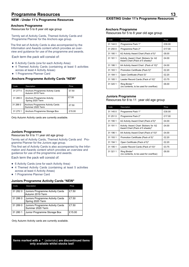## **Programme Resources**

#### **NEW - Under 11's Programme Resources**

#### **Anchors Programme**

Resources for 5 to 8 year old age group

Termly set of Activity Cards, Themed Activity Cards and Programme Planner for the Anchors age group.

The first set of Activity Cards is also accompanied by the Information and Awards content which provides an overview and guidance for use of the programme and awards.

Each term the pack will consist of:

- 6 Activity Cards (one for each Activity Area)
- 4 Themed Activity Cards (containing at least 5 activities across at least 4 Activity Areas)
- 1 Programme Planner Card

#### **Anchors Programme Activity Cards \*NEW\***

| Code     | Description                                                 | Price  |
|----------|-------------------------------------------------------------|--------|
| 31 277 0 | <b>Anchors Programme Activity Cards</b><br>Autumn 2019 Term | £7.50  |
| 31 285 0 | <b>Anchors Programme Activity</b><br>Spring 2020 Term       | £7.50  |
| 31 288 0 | Anchors Programme Activity Cards<br>Summer 2020 Term        | £7.50  |
| 31 275 1 | Anchors Programme Storage Box                               | £15.00 |

Only Autumn Activity cards are currently available.

#### **Juniors Programme**

Resources for 8 to 11 year old age group

Termly set of Activity Cards, Themed Activity Cards and Programme Planner for the Juniors age group.

This first set of Activity Cards is also accompanied by the Information and Awards content which provides an overview and guidance for use of the programme and awards.

Each term the pack will consist of:

- 6 Activity Cards (one for each Activity Area)
- 4 Themed Activity Cards (containing at least 5 activities across at least 4 Activity Areas)
- 1 Programme Planner Card

#### **Juniors Programme Activity Cards \*NEW\***

| Code     | Description                                          | Price  |
|----------|------------------------------------------------------|--------|
| 31 282 0 | Juniors Programme Activity Cards<br>Autumn 2019 Term | £7.50  |
| 31 286 0 | Juniors Programme Activity Cards<br>Spring 2020 Term | £7.50  |
| 31 289 0 | Juniors Programme Activity Cards<br>Summer 2020 Term | £7.50  |
| 31 280 1 | Junior Programme Storage Box                         | £15.00 |

Only Autumn Activity cards are currently available.

**Items marked with a \*** (asterisks) **are discontinued items only available whilst stocks last!**

#### **EXISTING Under 11's Programme Resources**

#### **Anchors Programme**

Resources for 5 to 8 year old age group

| Code     | Description                                                             | Price  |
|----------|-------------------------------------------------------------------------|--------|
| 31 144 0 | Programme Pack 1*                                                       | £30.00 |
| 31 250 0 | Programme Pack 2*                                                       | £17.00 |
| 31 180 1 | A2 Activity Award Chart (Pack of 5)*                                    | £8.00  |
| 31 181 1 | Activity Award Chart Stickers for A2<br>Award Chart (Pack of 5 sheets)* | £4.00  |
| 31 186 1 | A4 Activity Award Chart (Pack of 10)*                                   | £4.00  |
| 31 183 1 | Promotion Certificate (Pack 5)*                                         | £2.20  |
| 31 184 1 | Open Certificate (Pack 5)*                                              | £2.20  |
| 31 185 1 | Leader Record Cards (Pack of 10)*                                       | £3.75  |
| 31 320 1 | Ring Binder *<br>(no contents, to be used for overflow)                 | £6.00  |

#### **Juniors Programme**

Resources for 8 to 11 year old age group

| Code     | Description                                                             | Price  |
|----------|-------------------------------------------------------------------------|--------|
| 31 145 0 | Programme Pack 1*                                                       | £30.00 |
| 31 251 0 | Programme Pack 2*                                                       | £17.00 |
| 31 190 1 | A2 Activity Award Chart (Pack of 5)*                                    | £4.00  |
| 31 191 1 | Activity Award Chart Stickers for A2<br>Award Chart (Pack of 5 sheets)* | £4.00  |
| 31 196 1 | A4 Activity Award Chart (Pack of 10)*                                   | £4.00  |
| 31 193 1 | Promotion Certificate (Pack of 5)*                                      | £2.20  |
| 31 194 1 | Open Certificate (Pack of 5)*                                           | £2.20  |
| 31 195 1 | Leader Record Cards (Pack of 10)*                                       | £3.75  |
| 31 321 1 | Ring Binder*<br>(no contents, to be used for overflow)                  | £6.00  |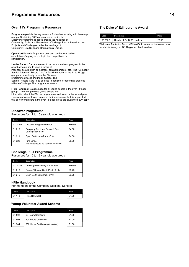#### **Over 11's Programme Resources**

**Programme pack** is the key resource for leaders working with these age groups. Containing 100's of programme topics the Discover programme is based around the headings of Community, Skills and Recreation. Challenge Plus is based around Projects and Challenges under the headings of Community, Life Skills and Recreation & Leisure.

**Open Certificate** is for general use, and can be awarded on completion of a programme topic, for competitions or participation.

**Leader Record Cards** are used to record a member's progress in the award scheme and to keep a record of

important details, such as address, contact numbers, etc. The "Company Section / Seniors' Record Card" is for all members of the 11 to 18 age group and specifically covers the Discover

programme awards and major awards. The

"Seniors' Record Card" is to be used in addition for recording progress with the Challenge Plus programme awards.

**I-File Handbook** is a resource for all young people in the over 11's age group. The I-File provides young people with information about the BB, the programmes and award scheme and provide s a convenient place to record their achievements. It is suggested that all new members in the over 11's age group are given their own copy.

#### **Discover Programme**

Resources for 11 to 15 year old age group

| Code     | Description                                                 | Price  |
|----------|-------------------------------------------------------------|--------|
| 31 146 0 | Discover Programme Pack                                     | £40.00 |
| 31 210 1 | Company Section / Seniors' Record<br>Cards (Pack of 10)     | £4.00  |
| 31 211 1 | Open Certificate (Pack of 10)                               | £4.50  |
| 31 322 1 | <b>Ring Binder</b><br>(no contents, to be used as overflow) | £6.00  |

#### **Challenge Plus Programme**

Resources for 15 to 18 year old age group

| Code     | Description                       | Price  |
|----------|-----------------------------------|--------|
| 31 147 0 | Challenge Plus Programme Pack     | £40.00 |
| 31 216 1 | Seniors' Record Card (Pack of 10) | £3.75  |
| 31 215 1 | Open Certificate (Pack of 10)     | £3.75  |

#### **I-File Handbook**

For members of the Company Section / Seniors

| Code     | Description     | Price |
|----------|-----------------|-------|
| 31 148 1 | I-File Handbook | £4.00 |

#### **Young Volunteer Award Scheme**

| Code     | Description                          | Price |
|----------|--------------------------------------|-------|
| 31 502 1 | 50 Hours Certificate                 | £1.00 |
| 31 503 1 | 100 Hours Certificate                | £1.00 |
| 31 504 1 | 200 Hours Certificate (foil blocked) | £1.50 |

#### **The Duke of Edinburgh's Award**

| Code                                                         | Description                          | Price |  |
|--------------------------------------------------------------|--------------------------------------|-------|--|
|                                                              | 35 296 0   Handbook for DofE Leaders | £6.50 |  |
| Welcome Packs for Bronze/Silver/Gold levels of the Award are |                                      |       |  |

available from your BB Regional Headquarters.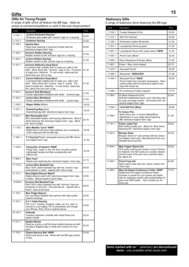## **Gifts**

## **Gifts for Young People**

A range of gifts which all feature the BB logo. Ideal as prizes at events/competitions or sold in the tuck shop/canteen!

| Code     | Description                                                                                                                                                                                                                                     | Price |
|----------|-------------------------------------------------------------------------------------------------------------------------------------------------------------------------------------------------------------------------------------------------|-------|
| 11 201 1 | Juniors Rucksack Keyring *<br>Rucksack style wallet with 'Juniors' logo on a keyring.                                                                                                                                                           | £2.50 |
| 11 210 1 | <b>Carabiner Keyring</b>                                                                                                                                                                                                                        | £3.00 |
| 11 199 1 | <b>Sparkie Bear</b><br>Teddy bear wearing a royal blue hoodie with the<br>adventure begins here' logo                                                                                                                                           | £9.60 |
| 11 228 1 | <b>Anchors Rubber Keyring</b><br>Rubber version of the 'Anchors' logo on a keyring.                                                                                                                                                             | £1.50 |
| 11 229 1 | Juniors Rubber Keyring<br>Rubber version of the 'Juniors' logo on a keyring                                                                                                                                                                     | £1.50 |
| 11 531 1 | <b>Anchors Reflective Snap Band</b><br>A practical high visibility item to keep you safe in the<br>dark. Silver band with 'Anchors' logo in red. The band<br>is bright and reflective. To use simply slap/snap the<br>band onto your arm or leg | £1.20 |
| 11 532 1 | Juniors Reflective Snap Band<br>A practical high visibility item to keep you safe in the<br>dark. Silver band with 'Juniors' logo in purple. The<br>band is bright and reflective. To use simply slap/snap<br>the band onto your arm or leg     | £1.20 |
| 11 533 1 | <b>Anchors Red Wristband</b><br>Tubular adjustable wristband with white<br>Anchors logo                                                                                                                                                         | £1.00 |
| 11 534 1 | Juniors Blue Wristband<br>Tubular adjustable wristband with white<br>Juniors logo                                                                                                                                                               | £1.00 |
| 11 650 1 | <b>Ripper Wallet (Black)</b>                                                                                                                                                                                                                    | £4.00 |
| 11 671 1 | <b>Drawstring Bag (blue)</b><br>Drawstring bag with 'adventure begins here' logo                                                                                                                                                                | £3.25 |
| 11 674 1 | Mini Retractable Pen*<br>Mini retractable ballpen with keyring attachment. Blue &<br>white featuring 'the adventure begins here 'logo. Black<br>ink. 8cm in length                                                                              | £0.70 |
| 11 730 1 | <b>Blue Metallic Torch *NEW*</b><br>Bright blue 5 LED torch with batteries and a wriststrap.<br>Laser engraved with the BB logo                                                                                                                 | £4.00 |
| 11 691 1 | F1 Keyring*Plastic rectangular keyring with BB 'adven-<br>ture begins here' logo                                                                                                                                                                | £1.50 |
| 11 693 1 | Flying Disc (Frisbee©) *NEW*<br>Flying Disc, made in the UK from recycled plastic.<br>Lightweight design and flies exceptionally well.<br>220mm dia.                                                                                            | £3.00 |
| 11 698 1 | <b>Blue Yovo*</b><br>Plastic yoyo featuring the 'adventure begins here' logo                                                                                                                                                                    | £1.75 |
| 11 710 0 | Juniors Blue Baseball Cap<br>Blue 100% cotton baseball cap with the 'Juniors' logo<br>embroidered in white. Adjusts with Velcro strap                                                                                                           | £6.00 |
| 11 715 1 | Blue Digital Silicone Watch*<br>Digital silicone watch with 'adventure begins here' logo<br>in white. Silicone band is 22cm deep                                                                                                                | £3.00 |
| 18 600 0 | <b>Anchors Red Baseball Cap</b><br>Red 100% cotton baseball cap with 'Anchors' logo em-<br>broidered on the front. One size fits all - adjusts with a<br>Velcro strap at the back                                                               | £6.00 |
| 11 720 1 | <b>Blue Fidget Spinner</b><br>Our own Boys' Brigade blue spinner with high quality<br>ceramic bearings                                                                                                                                          | £4.00 |
| 11 233 1 | 2 in 1 Cable Keyring<br>This 2-in-1 keyring charging cable can be used to<br>connect to your laptop, PC or powerbank and charge<br>your iPhone, iPad, iPod or android device                                                                    | £3.80 |
| 18 132 1 | <b>Umbrella</b><br>3-section polyester umbrella with metal frame and<br>plastic handle                                                                                                                                                          | £8.30 |
| 11 211 1 | <b>Bubble Blower</b><br>Great as a prize or gift this blue bubble blowing pot with<br>The Boys' Brigade logo in white print comes on a lan-<br>yard.                                                                                            | £2.00 |
| 11 725 1 | <b>Classic Bouncy Ball *NEW*</b><br>45mm size bouncy ball. White with the BB logo printed<br>in blue.                                                                                                                                           | £3.00 |

#### **Stationery Gifts**

A range of stationery items featuring the BB logo

| Code     | Description                                                                                                                                                                                                                                       | Price  |
|----------|---------------------------------------------------------------------------------------------------------------------------------------------------------------------------------------------------------------------------------------------------|--------|
| 11 209 1 | Frosted Notepad & Pen                                                                                                                                                                                                                             | £4.00  |
| 11 212 1 | Mini Pen Keyring*                                                                                                                                                                                                                                 | £2.00  |
| 11 226 1 | <b>Embossed Leather Bookmark</b>                                                                                                                                                                                                                  | £1.00  |
| 11 651 1 | Long Bendy Pencil (purple)*                                                                                                                                                                                                                       | £1.00  |
| 11 661 1 | Long Bendy Pencil with eraser (blue) *NEW*                                                                                                                                                                                                        | £1.00  |
| 11 653 1 | Pencil Case (Blue)*                                                                                                                                                                                                                               | £2.50  |
| 11 660 1 | Wave Sharpener & Eraser (Blue)                                                                                                                                                                                                                    | £1.50  |
| 11 665 1 | Eraser - Blue, book shaped                                                                                                                                                                                                                        | £0.75  |
| 11 670 1 | Recycled Pencil*                                                                                                                                                                                                                                  | £0.55  |
| 11 682 1 | Mousemat * REDUCED!                                                                                                                                                                                                                               | £1.50  |
| 11 649 1 | Recycled Pencil *NEW*<br>Pencil made from recycled newspapers. Navy<br>printed white with the adventure begins here<br>logo with eraser tip.                                                                                                      | £0.60  |
| 11 686 1 | A4 Conference Folder (zipped)*                                                                                                                                                                                                                    | £14.00 |
| 11 688 1 | A5 Black Notebook & Pen<br>Soft-feel hardbacked black cover with blue elas-<br>tic strap and page marker. De-bossed with 'ad-<br>venture begins here' logo                                                                                        | £5.60  |
| 11 694 1 | <b>Twist Ball Pen (Blue)</b>                                                                                                                                                                                                                      | £0.80  |
| 11 696 1 | Tri Colour Pen<br>Multi colour pen, 4 colours (Black/Blue/<br>Red/Green) in one single barrel featuring<br>BB 'adventure begins here' logo                                                                                                        | £1.00  |
| 11 701 1 | Parker Jotter Pen<br>Best selling quality pen. Black ink. Blue barrel<br>featuring the "adventure begins here' logo                                                                                                                               | £9.50  |
| 11 643 1 | Wooden Ruler<br>Wooden 30cm/12" ruler printed with the Adven-<br>ture Begins Here logo. Manufactured from sus-<br>tainable wood sources.                                                                                                          | £2.30  |
| 11 644 1 | <b>Mop Topper Stylus Pen</b><br>This quirky looking pen boasts a host of fantas-<br>tic features; the hair works as a screen cleaner<br>and the base of the pen has a soft-feel stylus<br>tip. Black ink.                                         | £2.00  |
| 11 645 1 | <b>Pencil Case Set</b><br>Nylon pencil case with pen, pencil, eraser and<br>15cm ruler                                                                                                                                                            | £4.80  |
| 11 668 1 | Blue A4 Zipped Conference Folder *NEW*<br>Stylish blue A4 zipped conference folder.<br>Includes a pocket for your phone and tablet<br>with an organiser section with pockets/tidies for<br>pens and USB holder. Also contains an A4<br>lined pad. | £19.00 |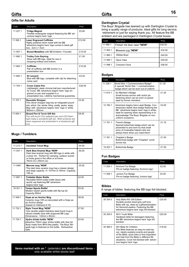### **Gifts for Adults**

| Code     | Description                                                                                                                                                                                                        | Price  |
|----------|--------------------------------------------------------------------------------------------------------------------------------------------------------------------------------------------------------------------|--------|
| 11 227 1 | <b>Fridge Magnet</b><br>Flexible rectangular magnet featuring the BB 'ad-<br>venture begins here' logo                                                                                                             | £0.60  |
| 11 595 1 | <b>Laser Engraved Cufflinks</b><br>Highly polished silver metal with the BB<br>"adventure begins here' logo comes in black gift<br>hox $2cm \times 15cm$                                                           | f1200  |
| 11 597 1 | <b>Boxed Medallion with BB Emblem / Founder</b>                                                                                                                                                                    | £15.00 |
| 11 680 1 | <b>Trolley Coin Keyring</b><br>Silver with BB logo. Ideal for use in<br>shopping trolleys and lockers.                                                                                                             | £1.50  |
| 11 683 1 | Cufflinks<br>Pair of cufflinks with BB Anchor in a<br>presentation box                                                                                                                                             | £10.00 |
| 11 684 1 | <b>ID Lanyard</b><br>Blue with BB logo, complete with clip for attaching<br>name card                                                                                                                              | £2.00  |
| 11 704 1 | <b>Cross Calais Pen</b><br>Lightweight, sleek chrome ball pen manufactured<br>by Cross. BB 'adventure begins here' logo en-<br>graved on pen and supplied in a<br>presentation box. Lifetime mechanical quarantee. | £29.50 |
| 11 707 1 | <b>Reusable Shopper</b><br>This clever shopper bag has an integrated pouch<br>into which the whole thing neatly packs away.<br>Blue with 'adventure begins here' logo in white.<br>365mm x 355mm                   | £3.00  |
| 11 654 1 | Boxed Pen & Torch Gift Set<br>The soft touch Chic ballpoint pen and LED flash-<br>light make a wonderful gift set. Both products are<br>laser engraved and presented in a handsome gift<br>box                     | £8.00  |

#### **Mugs / Tumblers**

| Code     | Description                                                                                                                                                                                          | Price |
|----------|------------------------------------------------------------------------------------------------------------------------------------------------------------------------------------------------------|-------|
| 11 213 1 | <b>Insulated Travel Mug</b>                                                                                                                                                                          | £4.50 |
| 11 547 1 | Dark Blue Enamel Mug *NEW*<br>Dark blue enamel mug with BB logo in white with<br>a silver rim. Perfect for camping, outdoor events<br>or looks good in the office or at home.<br>76mm (h) x 85mm (w) | £9.00 |
| 11 5481  | Marrow mug *NEW*<br>This dark blue ceramic mug has a classic design<br>and large capacity. H: 107mm D: 84mm. Capacity<br>14fl $0z$                                                                   | £5.00 |
| 11 687 1 | <b>Foldable Water Bottle</b><br>Reusable 500ml water bottle (blue) with<br>sports cap featuring BB 'adventure<br>begins here' logo                                                                   | £2.00 |
| 18 321 1 | Tempo Sports Bottle*<br>Modern stylish sports bottle with flip top lid.<br>Capacity 650ml                                                                                                            | £5.20 |
| 11 549 1 | Hope as an Anchor Mug<br>Ceramic mug (10fl oz) decorated with a Hope as<br>an Anchor design<br>(based on Hebrews 6:19)                                                                               | £6.00 |
| 11 732 1 | Style Travel Mug *NEW*<br>12oz double walled stainless steel travel mug in<br>vibrant metallic blue with engraved BB Logo.<br>Dimensions: 132mm x 80mm                                               | £7.50 |
| 11 734 1 | Hydro drinks bottle *NEW*<br>Attractive 750ml clear drinks bottle with blue lid.<br>Body made from BPA-free plastic. The Boys' Bri-<br>gade logo is featured on the bottle. Dishwasher<br>safe.      | £4.50 |

# **Gifts Gifts<sup>16</sup>**

#### **Dartington Crystal**

The Boys' Brigade has teamed up with Dartington Crystal to bring a quality range of products. Ideal gifts for long service, retirement or just for saying thank you. All feature the BB emblem and are packaged in Dartington Crystal boxes.

| Code     | Description                 | Price  |
|----------|-----------------------------|--------|
| 11 980 1 | Finbarr ink blue vase *NEW* | £50.00 |
| 11 983 1 | Blossom jug *NEW*           | £34.00 |
| 11 985 1 | Wibble Bowl                 | £40.00 |
| 11 994 1 | Opus Vase                   | £40.00 |
| 11 998 1 | <b>Crescent Clock</b>       | £58.00 |

#### **Badges**

| Code     | Description                                                                                                                                                                                                                                   | Price |
|----------|-----------------------------------------------------------------------------------------------------------------------------------------------------------------------------------------------------------------------------------------------|-------|
| 11 236 1 | World War 1 Commemorative Badge*<br>A special World War 1 commemorative<br>badge which can be worn out of uniform.                                                                                                                            | £1.30 |
| 11 615 1 | Ex-Member's Badge<br>Small bronze anchor with clutch pin<br>fastening which can be worn on jacket<br>lapel by former members                                                                                                                  | £1.25 |
| 12 160 1 | Adventure begins here Lapel Badge. Con-<br>temporary stylish blue badge featuring the<br>BB 'adventure begins here' logo in white,<br>ideal for wearing when representing or to<br>acknowledge The Boys' Brigade on non-<br>uniform occasions | £3.00 |
| 11 751 1 | Friend's Badge<br>Special buttonhole badge which can be<br>presented to and worn by that small<br>army of invaluable helpers who are<br>always there when you need them!                                                                      | £175  |
| 117611   | Chaplain's Badge<br>Buttonhole badge with "Chaplain" scroll<br>across top.                                                                                                                                                                    | f150  |
| 19 203 1 | <b>Buttonhole Badge</b>                                                                                                                                                                                                                       | £1.50 |

#### **Fun Badges**

| Code     | <b>Description</b>                                         | Price |
|----------|------------------------------------------------------------|-------|
| 11 205 1 | Anchors Fun Badge<br>Pin-on badge featuring 'Anchors logo' | £2.00 |
| 11 206 1 | Juniors Fun Badge<br>Pin-on badge featuring 'Juniors logo' | £2.00 |

#### **Bibles**

A range of bibles featuring the BB logo foil blocked.

| Code     | <b>Description</b>                                                                                                                                                                                                                                                                   | Price  |
|----------|--------------------------------------------------------------------------------------------------------------------------------------------------------------------------------------------------------------------------------------------------------------------------------------|--------|
| 35 354 0 | Holy Bible NIV Gift Edition<br>Durable pocket sized grey soft tone<br>Bible with zip, ideal as a gift/presentation<br>for Seniors/Leaders. Featuring the BB<br>'adventure begins here' logo foil blocked.                                                                            | £20.00 |
| 35 355 0 | <b>NCV Youth Bible</b><br>Hardback bible for teenagers featuring<br>the BB 'adventure begins here' logo foil<br>blocked                                                                                                                                                              | £20.00 |
| 35 366 0 | NIV Bible for Children<br>This Bible features an easy-to-read lay-<br>out, clearly explains events and people<br>of the Bible, quick links to find inspiration<br>and help from the Bible in different life<br>situations. Cover foil blocked with 'adven-<br>ture begins here' logo | £18.00 |